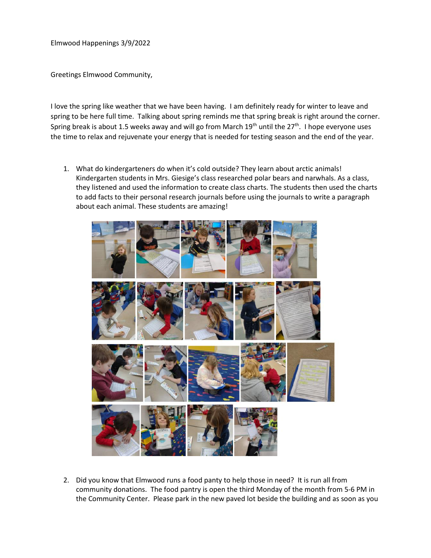Elmwood Happenings 3/9/2022

Greetings Elmwood Community,

I love the spring like weather that we have been having. I am definitely ready for winter to leave and spring to be here full time. Talking about spring reminds me that spring break is right around the corner. Spring break is about 1.5 weeks away and will go from March  $19<sup>th</sup>$  until the  $27<sup>th</sup>$ . I hope everyone uses the time to relax and rejuvenate your energy that is needed for testing season and the end of the year.

1. What do kindergarteners do when it's cold outside? They learn about arctic animals! Kindergarten students in Mrs. Giesige's class researched polar bears and narwhals. As a class, they listened and used the information to create class charts. The students then used the charts to add facts to their personal research journals before using the journals to write a paragraph about each animal. These students are amazing!



2. Did you know that Elmwood runs a food panty to help those in need? It is run all from community donations. The food pantry is open the third Monday of the month from 5-6 PM in the Community Center. Please park in the new paved lot beside the building and as soon as you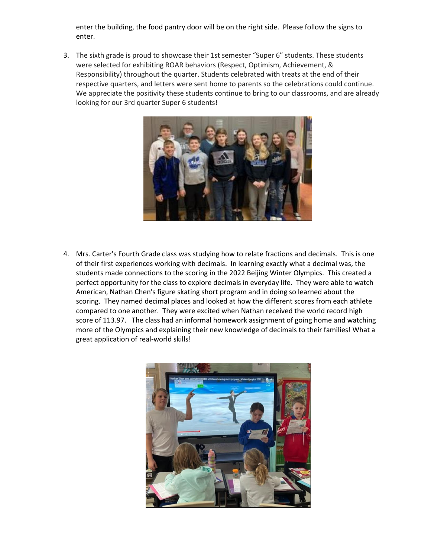enter the building, the food pantry door will be on the right side. Please follow the signs to enter.

3. The sixth grade is proud to showcase their 1st semester "Super 6" students. These students were selected for exhibiting ROAR behaviors (Respect, Optimism, Achievement, & Responsibility) throughout the quarter. Students celebrated with treats at the end of their respective quarters, and letters were sent home to parents so the celebrations could continue. We appreciate the positivity these students continue to bring to our classrooms, and are already looking for our 3rd quarter Super 6 students!



4. Mrs. Carter's Fourth Grade class was studying how to relate fractions and decimals. This is one of their first experiences working with decimals. In learning exactly what a decimal was, the students made connections to the scoring in the 2022 Beijing Winter Olympics. This created a perfect opportunity for the class to explore decimals in everyday life. They were able to watch American, Nathan Chen's figure skating short program and in doing so learned about the scoring. They named decimal places and looked at how the different scores from each athlete compared to one another. They were excited when Nathan received the world record high score of 113.97. The class had an informal homework assignment of going home and watching more of the Olympics and explaining their new knowledge of decimals to their families! What a great application of real-world skills!